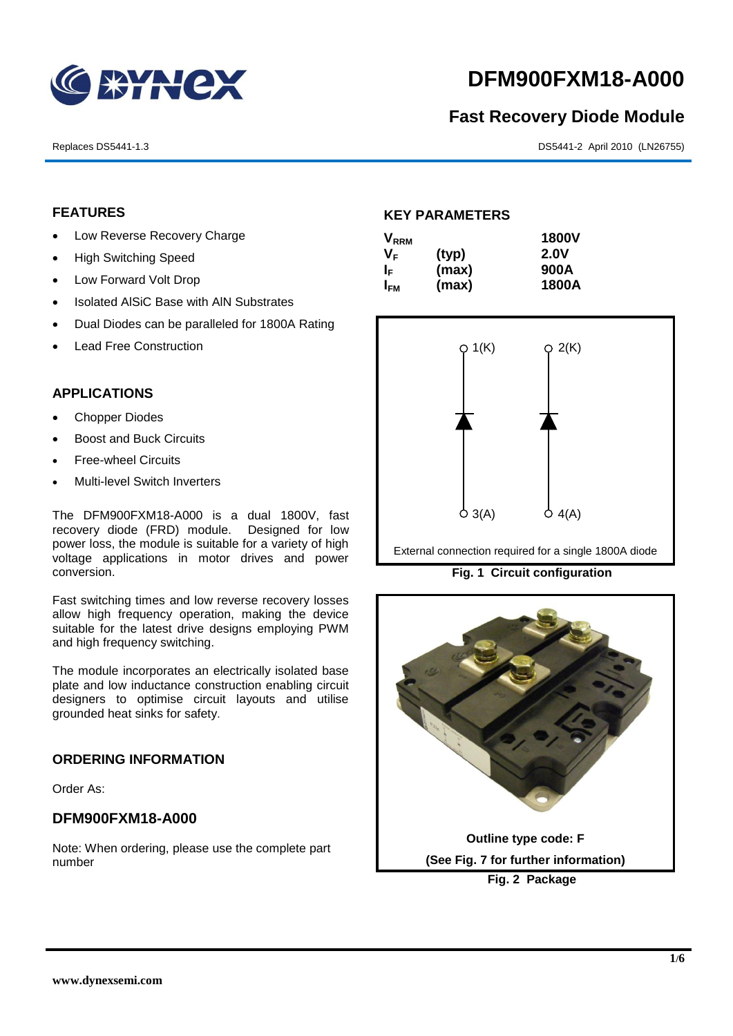

# **DFM900FXM18-A000**

# **Fast Recovery Diode Module**

Replaces DS5441-1.3 DS5441-2 April 2010 (LN26755)

# **FEATURES**

- Low Reverse Recovery Charge
- High Switching Speed
- Low Forward Volt Drop
- Isolated AISiC Base with AIN Substrates
- Dual Diodes can be paralleled for 1800A Rating
- Lead Free Construction

#### **APPLICATIONS**

- Chopper Diodes
- Boost and Buck Circuits
- Free-wheel Circuits
- Multi-level Switch Inverters

The DFM900FXM18-A000 is a dual 1800V, fast recovery diode (FRD) module. Designed for low power loss, the module is suitable for a variety of high voltage applications in motor drives and power conversion.

Fast switching times and low reverse recovery losses allow high frequency operation, making the device suitable for the latest drive designs employing PWM and high frequency switching.

The module incorporates an electrically isolated base plate and low inductance construction enabling circuit designers to optimise circuit layouts and utilise grounded heat sinks for safety.

#### **ORDERING INFORMATION**

Order As:

# **DFM900FXM18-A000**

Note: When ordering, please use the complete part number

#### **KEY PARAMETERS**

| <b>V</b> <sub>RRM</sub> |       | <b>1800V</b> |
|-------------------------|-------|--------------|
| Vғ                      | (typ) | <b>2.0V</b>  |
| I⊧                      | (max) | 900A         |
| I <sub>FМ</sub>         | (max) | 1800A        |



External connection required for a single 1800A diode

**Fig. 1 Circuit configuration**

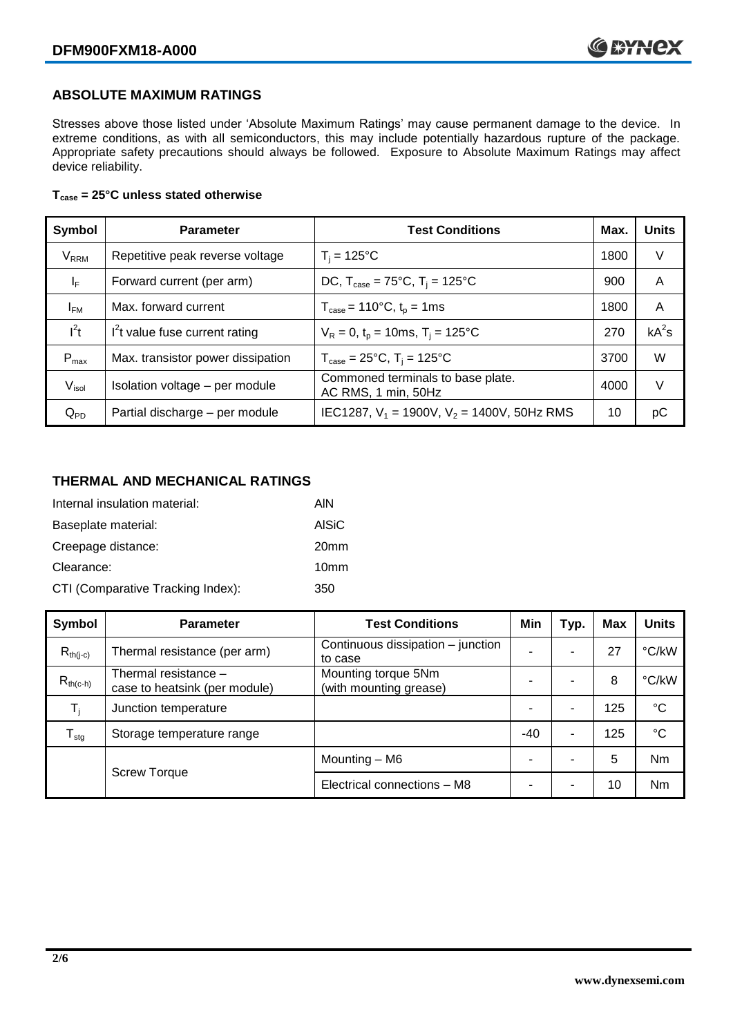# **ABSOLUTE MAXIMUM RATINGS**

Stresses above those listed under 'Absolute Maximum Ratings' may cause permanent damage to the device. In extreme conditions, as with all semiconductors, this may include potentially hazardous rupture of the package. Appropriate safety precautions should always be followed. Exposure to Absolute Maximum Ratings may affect device reliability.

#### **Tcase = 25°C unless stated otherwise**

| Symbol                  | <b>Parameter</b>                  | <b>Test Conditions</b>                                      | Max. | <b>Units</b> |
|-------------------------|-----------------------------------|-------------------------------------------------------------|------|--------------|
| <b>V<sub>RRM</sub></b>  | Repetitive peak reverse voltage   | $T_i = 125$ °C                                              | 1800 | V            |
| $\mathsf{I}_\mathsf{F}$ | Forward current (per arm)         | DC, $T_{\text{case}} = 75^{\circ}$ C, $T_i = 125^{\circ}$ C | 900  | A            |
| $I_{FM}$                | Max. forward current              | $T_{\text{case}} = 110^{\circ}C, t_{p} = 1ms$               | 1800 | A            |
| $I^2t$                  | $I2t$ value fuse current rating   | $V_R = 0$ , $t_p = 10$ ms, $T_i = 125$ °C                   | 270  | $kA^2s$      |
| $P_{max}$               | Max. transistor power dissipation | $T_{\text{case}} = 25^{\circ}C$ , $T_i = 125^{\circ}C$      | 3700 | W            |
| V <sub>isol</sub>       | Isolation voltage - per module    | Commoned terminals to base plate.<br>AC RMS, 1 min, 50Hz    | 4000 | V            |
| $Q_{PD}$                | Partial discharge - per module    | IEC1287, $V_1$ = 1900V, $V_2$ = 1400V, 50Hz RMS             | 10   | pС           |

# **THERMAL AND MECHANICAL RATINGS**

| Internal insulation material:     | AIN              |
|-----------------------------------|------------------|
| Baseplate material:               | <b>AISiC</b>     |
| Creepage distance:                | 20 <sub>mm</sub> |
| Clearance:                        | 10 <sub>mm</sub> |
| CTI (Comparative Tracking Index): | 350              |

| Symbol                  | <b>Parameter</b>                                      | <b>Test Conditions</b>                        | Min | Typ. | Max | <b>Units</b>    |
|-------------------------|-------------------------------------------------------|-----------------------------------------------|-----|------|-----|-----------------|
| $R_{th(j-c)}$           | Thermal resistance (per arm)                          | Continuous dissipation – junction<br>to case  |     | ٠    | 27  | °C/kW           |
| $R_{th(c-h)}$           | Thermal resistance -<br>case to heatsink (per module) | Mounting torque 5Nm<br>(with mounting grease) |     | ۰    | 8   | °C/kW           |
| $\mathsf{T}_\mathsf{i}$ | Junction temperature                                  |                                               |     | ٠    | 125 | $\rm ^{\circ}C$ |
| $T_{\text{stg}}$        | Storage temperature range                             |                                               | -40 | ٠    | 125 | $^{\circ}C$     |
|                         |                                                       | Mounting – M6                                 |     | -    | 5   | <b>Nm</b>       |
| <b>Screw Torque</b>     |                                                       | Electrical connections - M8                   |     | ٠    | 10  | <b>Nm</b>       |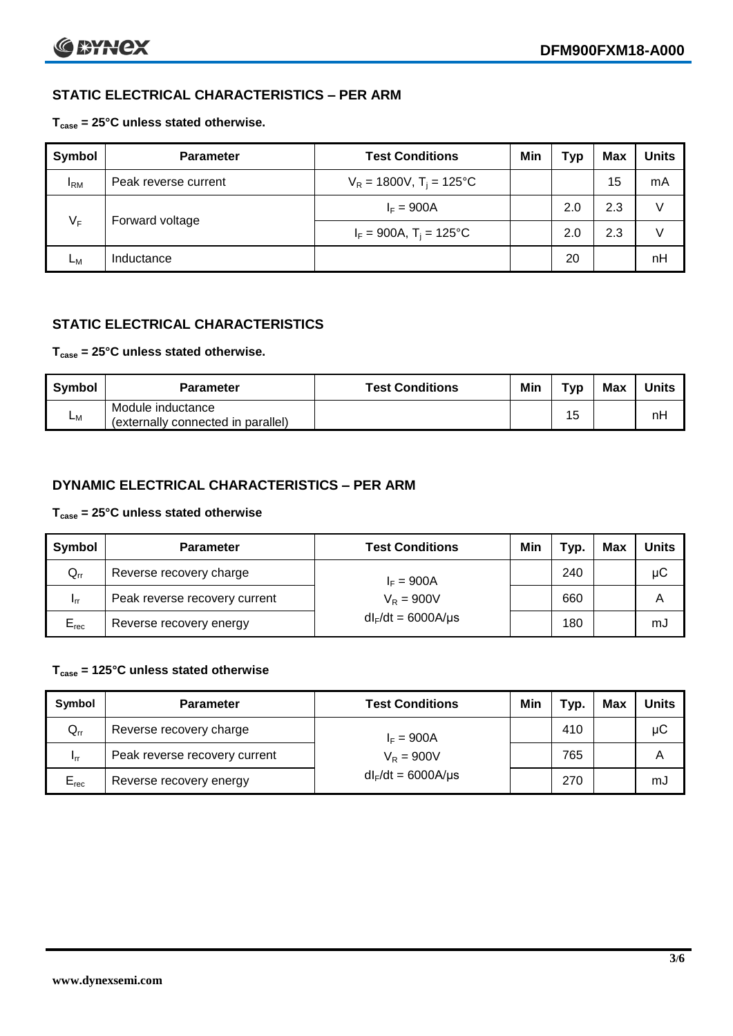# **STATIC ELECTRICAL CHARACTERISTICS – PER ARM**

# **Tcase = 25°C unless stated otherwise.**

| Symbol          | <b>Parameter</b>     | <b>Test Conditions</b>                 | Min | Typ | <b>Max</b> | <b>Units</b> |
|-----------------|----------------------|----------------------------------------|-----|-----|------------|--------------|
| <sup>I</sup> RM | Peak reverse current | $V_R = 1800V$ , T <sub>i</sub> = 125°C |     |     | 15         | mA           |
| $V_F$           | Forward voltage      | $I_F = 900A$                           |     | 2.0 | 2.3        | v            |
|                 |                      | $I_F = 900A$ , $T_i = 125^{\circ}C$    |     | 2.0 | 2.3        | v            |
| Lм              | Inductance           |                                        |     | 20  |            | nH           |

# **STATIC ELECTRICAL CHARACTERISTICS**

### **Tcase = 25°C unless stated otherwise.**

| <b>Symbol</b> | <b>Parameter</b>                                        | <b>Test Conditions</b> | Min | тур       | Max | <b>Units</b> |
|---------------|---------------------------------------------------------|------------------------|-----|-----------|-----|--------------|
| Lм            | Module inductance<br>(externally connected in parallel) |                        |     | 15<br>ں ا |     | nH           |

# **DYNAMIC ELECTRICAL CHARACTERISTICS – PER ARM**

### **Tcase = 25°C unless stated otherwise**

| Symbol          | <b>Parameter</b>              | <b>Test Conditions</b>  | Min | Typ. | Max | <b>Units</b> |
|-----------------|-------------------------------|-------------------------|-----|------|-----|--------------|
| $Q_{rr}$        | Reverse recovery charge       | $I_F = 900A$            |     | 240  |     | μC           |
| 1 <sub>rr</sub> | Peak reverse recovery current | $V_R = 900V$            |     | 660  |     | Α            |
| $E_{rec}$       | Reverse recovery energy       | $dl_F/dt = 6000A/\mu s$ |     | 180  |     | mJ           |

# **Tcase = 125°C unless stated otherwise**

| Symbol    | <b>Parameter</b>              | <b>Test Conditions</b>  | Min | Typ. | Max | Units |
|-----------|-------------------------------|-------------------------|-----|------|-----|-------|
| $Q_{rr}$  | Reverse recovery charge       | $I_F = 900A$            |     | 410  |     | μC    |
| - Irr     | Peak reverse recovery current | $V_R = 900V$            |     | 765  |     | Α     |
| $E_{rec}$ | Reverse recovery energy       | $dl_F/dt = 6000A/\mu s$ |     | 270  |     | mJ    |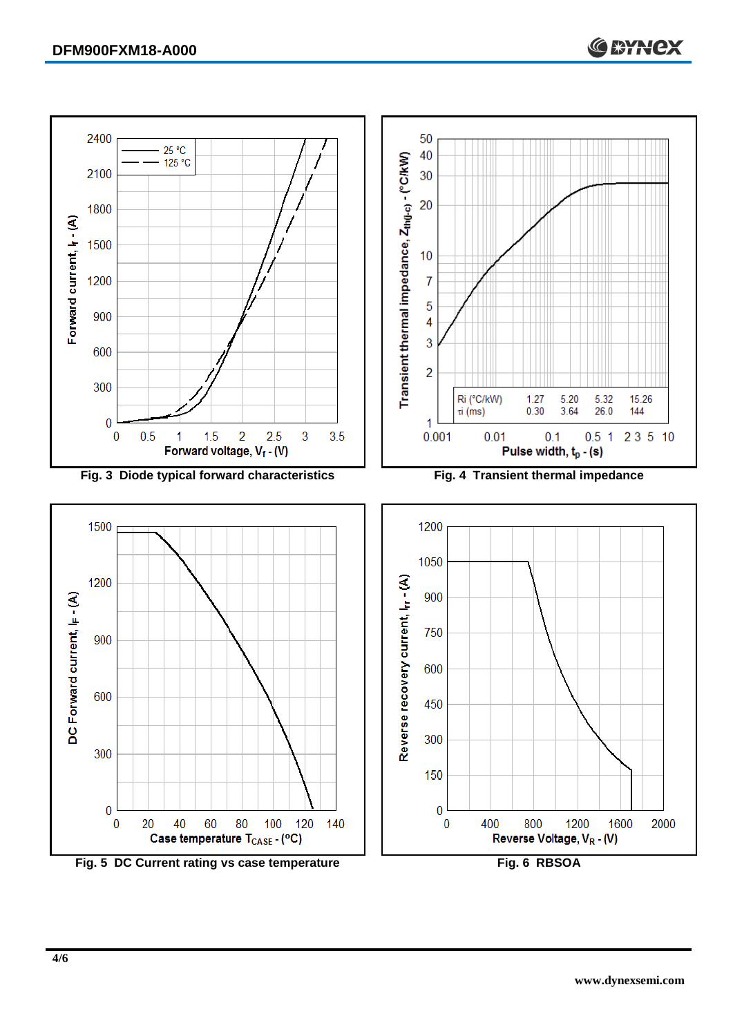

Fig. 5 DC Current rating vs case temperature **Fig. 6 RBSOA**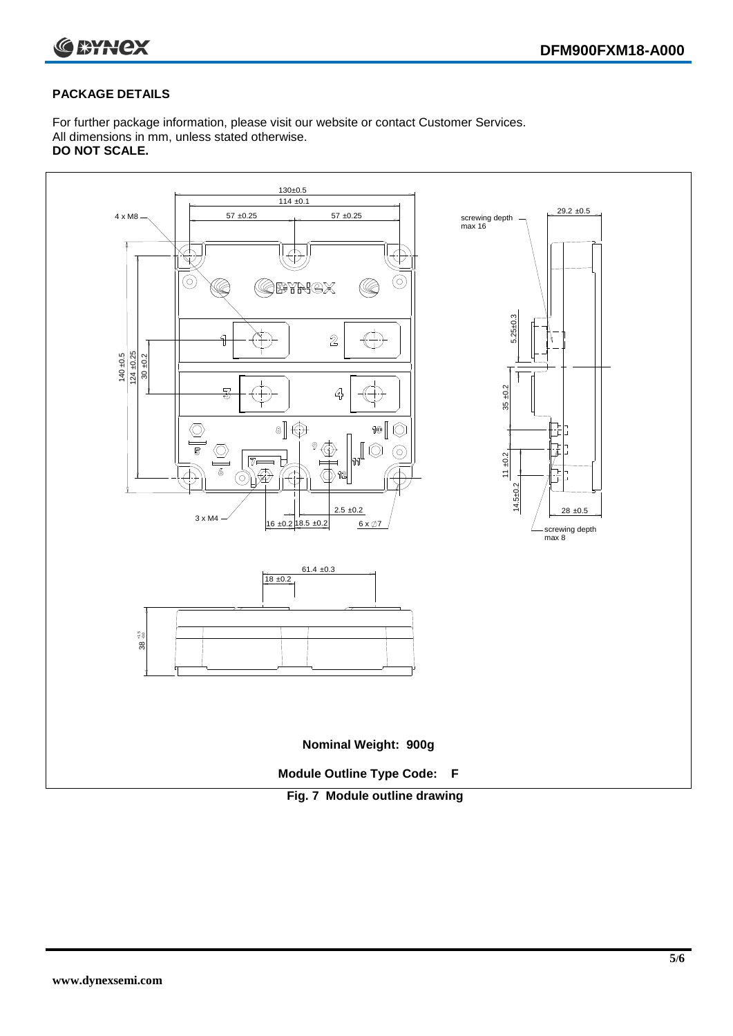



# **PACKAGE DETAILS**

For further package information, please visit our website or contact Customer Services. All dimensions in mm, unless stated otherwise. **DO NOT SCALE.**